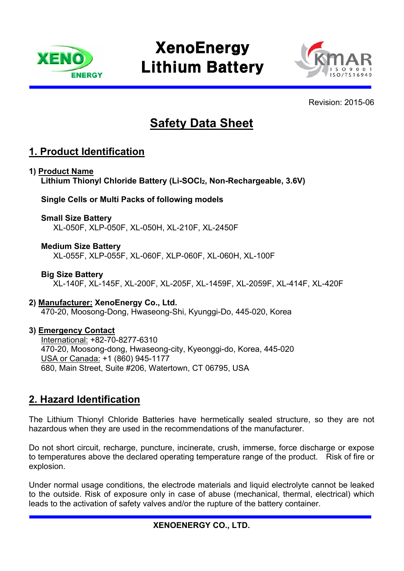

# **XenoEnergy** Lithium Battery



Revision: 2015-06

## **Safety Data Sheet**

#### **1. Product Identification**

#### **1) Product Name**

Lithium Thionyl Chloride Battery (Li-SOCl<sub>2</sub>, Non-Rechargeable, 3.6V)

**Single Cells or Multi Packs of following models** 

#### **Small Size Battery**

XL-050F, XLP-050F, XL-050H, XL-210F, XL-2450F

#### **Medium Size Battery**

XL-055F, XLP-055F, XL-060F, XLP-060F, XL-060H, XL-100F

#### **Big Size Battery**

XL-140F, XL-145F, XL-200F, XL-205F, XL-1459F, XL-2059F, XL-414F, XL-420F

#### **2) Manufacturer: XenoEnergy Co., Ltd.**

470-20, Moosong-Dong, Hwaseong-Shi, Kyunggi-Do, 445-020, Korea

#### **3) Emergency Contact**

International: +82-70-8277-6310 470-20, Moosong-dong, Hwaseong-city, Kyeonggi-do, Korea, 445-020 USA or Canada: +1 (860) 945-1177 680, Main Street, Suite #206, Watertown, CT 06795, USA

#### **2. Hazard Identification**

The Lithium Thionyl Chloride Batteries have hermetically sealed structure, so they are not hazardous when they are used in the recommendations of the manufacturer.

Do not short circuit, recharge, puncture, incinerate, crush, immerse, force discharge or expose to temperatures above the declared operating temperature range of the product. Risk of fire or explosion.

 Under normal usage conditions, the electrode materials and liquid electrolyte cannot be leaked to the outside. Risk of exposure only in case of abuse (mechanical, thermal, electrical) which leads to the activation of safety valves and/or the rupture of the battery container.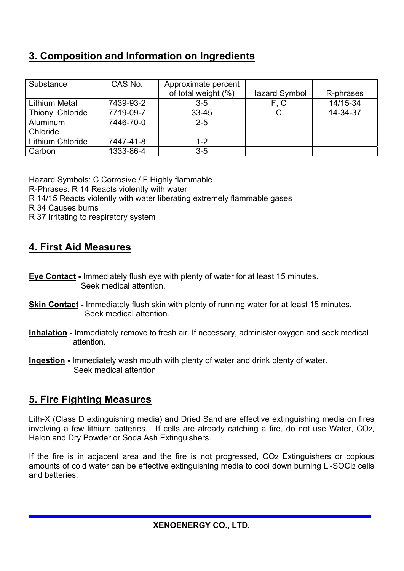## **3. Composition and Information on Ingredients**

| Substance               | CAS No.   | Approximate percent |                      |           |
|-------------------------|-----------|---------------------|----------------------|-----------|
|                         |           | of total weight (%) | <b>Hazard Symbol</b> | R-phrases |
| <b>Lithium Metal</b>    | 7439-93-2 | $3 - 5$             | F, C                 | 14/15-34  |
| <b>Thionyl Chloride</b> | 7719-09-7 | $33 - 45$           |                      | 14-34-37  |
| Aluminum                | 7446-70-0 | $2 - 5$             |                      |           |
| Chloride                |           |                     |                      |           |
| Lithium Chloride        | 7447-41-8 | 1-2                 |                      |           |
| Carbon                  | 1333-86-4 | $3-5$               |                      |           |

Hazard Symbols: C Corrosive / F Highly flammable

R-Phrases: R 14 Reacts violently with water

R 14/15 Reacts violently with water liberating extremely flammable gases

- R 34 Causes burns
- R 37 Irritating to respiratory system

## **4. First Aid Measures**

- **Eye Contact -** Immediately flush eye with plenty of water for at least 15 minutes. Seek medical attention.
- **Skin Contact -** Immediately flush skin with plenty of running water for at least 15 minutes. Seek medical attention.
- **Inhalation -** Immediately remove to fresh air. If necessary, administer oxygen and seek medical attention.
- **Ingestion -** Immediately wash mouth with plenty of water and drink plenty of water. Seek medical attention

#### **5. Fire Fighting Measures**

Lith-X (Class D extinguishing media) and Dried Sand are effective extinguishing media on fires involving a few lithium batteries. If cells are already catching a fire, do not use Water, CO2, Halon and Dry Powder or Soda Ash Extinguishers.

If the fire is in adjacent area and the fire is not progressed, CO2 Extinguishers or copious amounts of cold water can be effective extinguishing media to cool down burning Li-SOCl2 cells and batteries.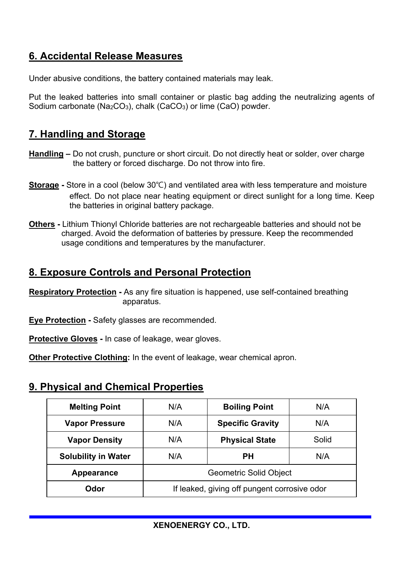## **6. Accidental Release Measures**

Under abusive conditions, the battery contained materials may leak.

Put the leaked batteries into small container or plastic bag adding the neutralizing agents of Sodium carbonate (Na<sub>2</sub>CO<sub>3</sub>), chalk (CaCO<sub>3</sub>) or lime (CaO) powder.

#### **7. Handling and Storage**

- **Handling** Do not crush, puncture or short circuit. Do not directly heat or solder, over charge the battery or forced discharge. Do not throw into fire.
- **Storage -** Store in a cool (below 30℃) and ventilated area with less temperature and moisture effect. Do not place near heating equipment or direct sunlight for a long time. Keep the batteries in original battery package.
- **Others -** Lithium Thionyl Chloride batteries are not rechargeable batteries and should not be charged. Avoid the deformation of batteries by pressure. Keep the recommended usage conditions and temperatures by the manufacturer.

#### **8. Exposure Controls and Personal Protection**

**Respiratory Protection -** As any fire situation is happened, use self-contained breathing apparatus.

**Eye Protection -** Safety glasses are recommended.

**Protective Gloves -** In case of leakage, wear gloves.

**Other Protective Clothing:** In the event of leakage, wear chemical apron.

## **9. Physical and Chemical Properties**

| <b>Melting Point</b>       | N/A                                          | <b>Boiling Point</b>    | N/A   |  |
|----------------------------|----------------------------------------------|-------------------------|-------|--|
| <b>Vapor Pressure</b>      | N/A                                          | <b>Specific Gravity</b> | N/A   |  |
| <b>Vapor Density</b>       | N/A                                          | <b>Physical State</b>   | Solid |  |
| <b>Solubility in Water</b> | N/A                                          | РH                      | N/A   |  |
| Appearance                 | <b>Geometric Solid Object</b>                |                         |       |  |
| Odor                       | If leaked, giving off pungent corrosive odor |                         |       |  |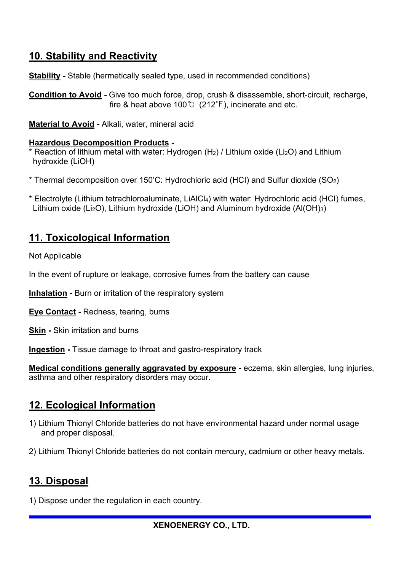## **10. Stability and Reactivity**

**Stability** - Stable (hermetically sealed type, used in recommended conditions)

**Condition to Avoid -** Give too much force, drop, crush & disassemble, short-circuit, recharge, fire & heat above 100℃ (212℉), incinerate and etc.

**Material to Avoid -** Alkali, water, mineral acid

#### **Hazardous Decomposition Products -**

\* Reaction of lithium metal with water: Hydrogen (H2) / Lithium oxide (Li2O) and Lithium hydroxide (LiOH)

- \* Thermal decomposition over 150'C: Hydrochloric acid (HCI) and Sulfur dioxide (SO2)
- \* Electrolyte (Lithium tetrachloroaluminate, LiAlCl4) with water: Hydrochloric acid (HCI) fumes, Lithium oxide (Li2O), Lithium hydroxide (LiOH) and Aluminum hydroxide (Al(OH)3)

## **11. Toxicological Information**

Not Applicable

In the event of rupture or leakage, corrosive fumes from the battery can cause

**Inhalation -** Burn or irritation of the respiratory system

**Eye Contact -** Redness, tearing, burns

**Skin -** Skin irritation and burns

**Ingestion -** Tissue damage to throat and gastro-respiratory track

**Medical conditions generally aggravated by exposure -** eczema, skin allergies, lung injuries, asthma and other respiratory disorders may occur.

## **12. Ecological Information**

- 1) Lithium Thionyl Chloride batteries do not have environmental hazard under normal usage and proper disposal.
- 2) Lithium Thionyl Chloride batteries do not contain mercury, cadmium or other heavy metals.

## **13. Disposal**

1) Dispose under the regulation in each country.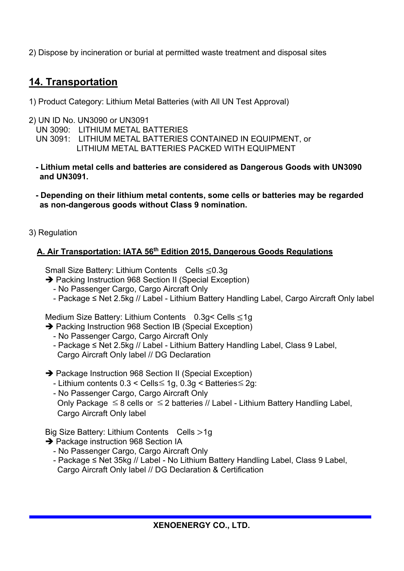2) Dispose by incineration or burial at permitted waste treatment and disposal sites

## **14. Transportation**

- 1) Product Category: Lithium Metal Batteries (with All UN Test Approval)
- 2) UN ID No. UN3090 or UN3091
	- UN 3090: LITHIUM METAL BATTERIES
	- LITHIUM METAL BATTERIES PACKED WITH EQUIPMENT UN 3091: LITHIUM METAL BATTERIES CONTAINED IN EQUIPMENT, or
	- **Lithium metal cells and batteries are considered as Dangerous Goods with UN3090 and UN3091.**
	- **Depending on their lithium metal contents, some cells or batteries may be regarded as non-dangerous goods without Class 9 nomination.**
- 3) Regulation

#### **A. Air Transportation: IATA 56th Edition 2015, Dangerous Goods Regulations**

Small Size Battery: Lithium Contents Cells ≤0.3g

- → Packing Instruction 968 Section II (Special Exception)
	- No Passenger Cargo, Cargo Aircraft Only
	- Package ≤ Net 2.5kg // Label Lithium Battery Handling Label, Cargo Aircraft Only label

Medium Size Battery: Lithium Contents 0.3g< Cells ≤1g

- → Packing Instruction 968 Section IB (Special Exception)
	- No Passenger Cargo, Cargo Aircraft Only
	- Package ≤ Net 2.5kg // Label Lithium Battery Handling Label, Class 9 Label, Cargo Aircraft Only label // DG Declaration
- → Package Instruction 968 Section II (Special Exception)
	- Lithium contents 0.3 < Cells≤ 1g, 0.3g < Batteries≤ 2g:
	- No Passenger Cargo, Cargo Aircraft Only Only Package  $\leq 8$  cells or  $\leq 2$  batteries // Label - Lithium Battery Handling Label, Cargo Aircraft Only label

Big Size Battery: Lithium Contents Cells >1g

- → Package instruction 968 Section IA
	- No Passenger Cargo, Cargo Aircraft Only
	- Package ≤ Net 35kg // Label No Lithium Battery Handling Label, Class 9 Label, Cargo Aircraft Only label // DG Declaration & Certification